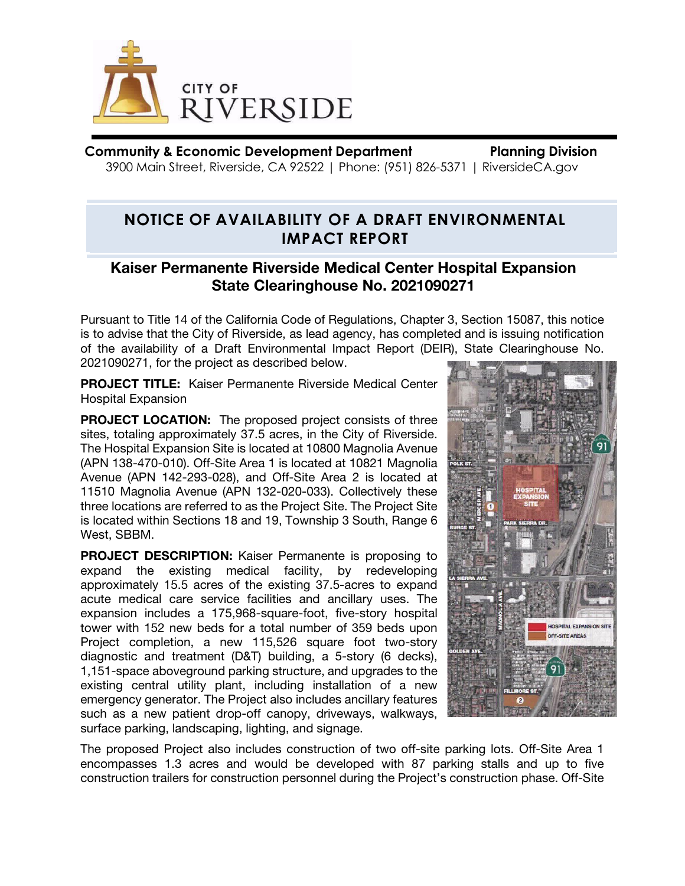

**Community & Economic Development Department Planning Division** 3900 Main Street, Riverside, CA 92522 | Phone: (951) 826-5371 | RiversideCA.gov

## **NOTICE OF AVAILABILITY OF A DRAFT ENVIRONMENTAL IMPACT REPORT**

## Kaiser Permanente Riverside Medical Center Hospital Expansion State Clearinghouse No. 2021090271

Pursuant to Title 14 of the California Code of Regulations, Chapter 3, Section 15087, this notice is to advise that the City of Riverside, as lead agency, has completed and is issuing notification of the availability of a Draft Environmental Impact Report (DEIR), State Clearinghouse No. 2021090271, for the project as described below.

PROJECT TITLE: Kaiser Permanente Riverside Medical Center Hospital Expansion

PROJECT LOCATION: The proposed project consists of three sites, totaling approximately 37.5 acres, in the City of Riverside. The Hospital Expansion Site is located at 10800 Magnolia Avenue (APN 138-470-010). Off-Site Area 1 is located at 10821 Magnolia Avenue (APN 142-293-028), and Off-Site Area 2 is located at 11510 Magnolia Avenue (APN 132-020-033). Collectively these three locations are referred to as the Project Site. The Project Site is located within Sections 18 and 19, Township 3 South, Range 6 West, SBBM.

PROJECT DESCRIPTION: Kaiser Permanente is proposing to expand the existing medical facility, by redeveloping approximately 15.5 acres of the existing 37.5-acres to expand acute medical care service facilities and ancillary uses. The expansion includes a 175,968-square-foot, five-story hospital tower with 152 new beds for a total number of 359 beds upon Project completion, a new 115,526 square foot two-story diagnostic and treatment (D&T) building, a 5-story (6 decks), 1,151-space aboveground parking structure, and upgrades to the existing central utility plant, including installation of a new emergency generator. The Project also includes ancillary features such as a new patient drop-off canopy, driveways, walkways, surface parking, landscaping, lighting, and signage.



The proposed Project also includes construction of two off-site parking lots. Off-Site Area 1 encompasses 1.3 acres and would be developed with 87 parking stalls and up to five construction trailers for construction personnel during the Project's construction phase. Off-Site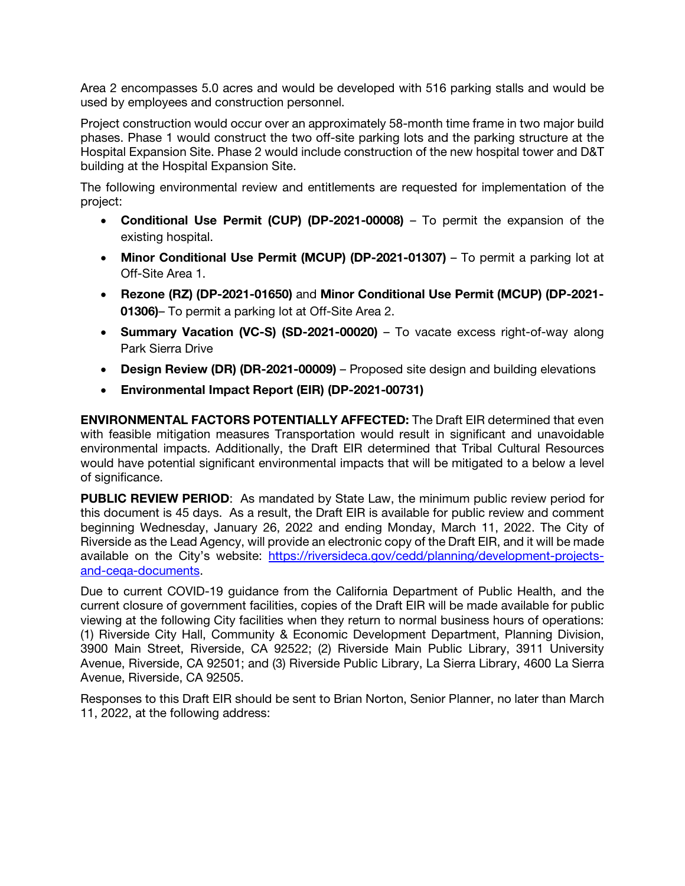Area 2 encompasses 5.0 acres and would be developed with 516 parking stalls and would be used by employees and construction personnel.

Project construction would occur over an approximately 58-month time frame in two major build phases. Phase 1 would construct the two off-site parking lots and the parking structure at the Hospital Expansion Site. Phase 2 would include construction of the new hospital tower and D&T building at the Hospital Expansion Site.

The following environmental review and entitlements are requested for implementation of the project:

- Conditional Use Permit (CUP) (DP-2021-00008) To permit the expansion of the existing hospital.
- Minor Conditional Use Permit (MCUP) (DP-2021-01307) To permit a parking lot at Off-Site Area 1.
- Rezone (RZ) (DP-2021-01650) and Minor Conditional Use Permit (MCUP) (DP-2021- 01306)– To permit a parking lot at Off-Site Area 2.
- Summary Vacation (VC-S) (SD-2021-00020) To vacate excess right-of-way along Park Sierra Drive
- Design Review (DR) (DR-2021-00009) Proposed site design and building elevations
- Environmental Impact Report (EIR) (DP-2021-00731)

ENVIRONMENTAL FACTORS POTENTIALLY AFFECTED: The Draft EIR determined that even with feasible mitigation measures Transportation would result in significant and unavoidable environmental impacts. Additionally, the Draft EIR determined that Tribal Cultural Resources would have potential significant environmental impacts that will be mitigated to a below a level of significance.

PUBLIC REVIEW PERIOD: As mandated by State Law, the minimum public review period for this document is 45 days. As a result, the Draft EIR is available for public review and comment beginning Wednesday, January 26, 2022 and ending Monday, March 11, 2022. The City of Riverside as the Lead Agency, will provide an electronic copy of the Draft EIR, and it will be made available on the City's website: [https://riversideca.gov/cedd/planning/development-projects](https://riversideca.gov/cedd/planning/development-projects-and-ceqa-documents)[and-ceqa-documents.](https://riversideca.gov/cedd/planning/development-projects-and-ceqa-documents)

Due to current COVID-19 guidance from the California Department of Public Health, and the current closure of government facilities, copies of the Draft EIR will be made available for public viewing at the following City facilities when they return to normal business hours of operations: (1) Riverside City Hall, Community & Economic Development Department, Planning Division, 3900 Main Street, Riverside, CA 92522; (2) Riverside Main Public Library, 3911 University Avenue, Riverside, CA 92501; and (3) Riverside Public Library, La Sierra Library, 4600 La Sierra Avenue, Riverside, CA 92505.

Responses to this Draft EIR should be sent to Brian Norton, Senior Planner, no later than March 11, 2022, at the following address: